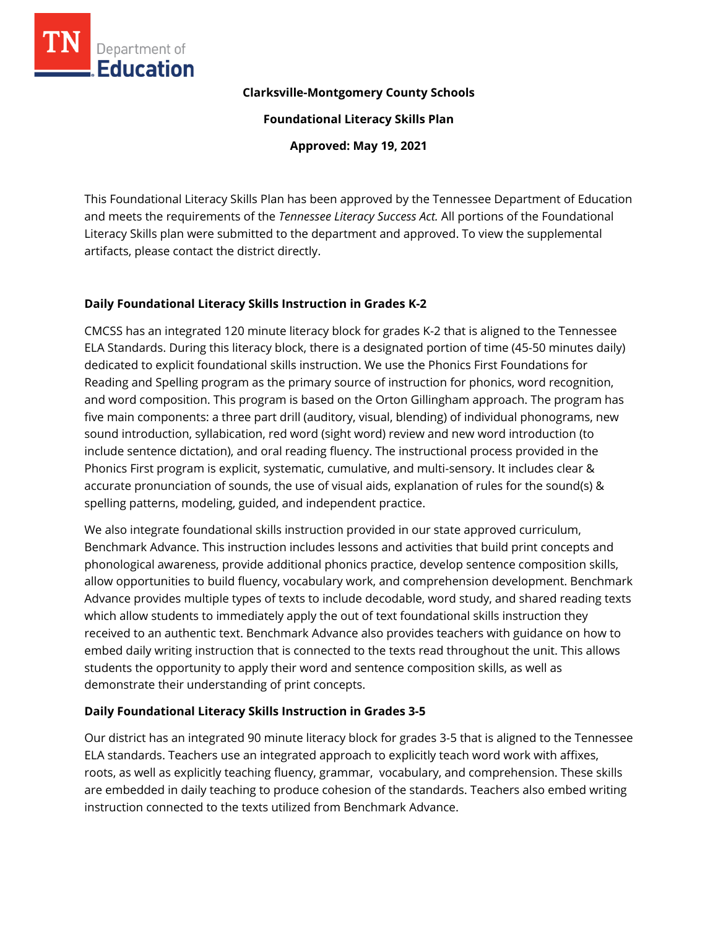

### **Clarksville-Montgomery County Schools**

**Foundational Literacy Skills Plan**

**Approved: May 19, 2021**

This Foundational Literacy Skills Plan has been approved by the Tennessee Department of Education and meets the requirements of the *Tennessee Literacy Success Act.* All portions of the Foundational Literacy Skills plan were submitted to the department and approved. To view the supplemental artifacts, please contact the district directly.

# **Daily Foundational Literacy Skills Instruction in Grades K-2**

CMCSS has an integrated 120 minute literacy block for grades K-2 that is aligned to the Tennessee ELA Standards. During this literacy block, there is a designated portion of time (45-50 minutes daily) dedicated to explicit foundational skills instruction. We use the Phonics First Foundations for Reading and Spelling program as the primary source of instruction for phonics, word recognition, and word composition. This program is based on the Orton Gillingham approach. The program has five main components: a three part drill (auditory, visual, blending) of individual phonograms, new sound introduction, syllabication, red word (sight word) review and new word introduction (to include sentence dictation), and oral reading fluency. The instructional process provided in the Phonics First program is explicit, systematic, cumulative, and multi-sensory. It includes clear & accurate pronunciation of sounds, the use of visual aids, explanation of rules for the sound(s) & spelling patterns, modeling, guided, and independent practice.

We also integrate foundational skills instruction provided in our state approved curriculum, Benchmark Advance. This instruction includes lessons and activities that build print concepts and phonological awareness, provide additional phonics practice, develop sentence composition skills, allow opportunities to build fluency, vocabulary work, and comprehension development. Benchmark Advance provides multiple types of texts to include decodable, word study, and shared reading texts which allow students to immediately apply the out of text foundational skills instruction they received to an authentic text. Benchmark Advance also provides teachers with guidance on how to embed daily writing instruction that is connected to the texts read throughout the unit. This allows students the opportunity to apply their word and sentence composition skills, as well as demonstrate their understanding of print concepts.

# **Daily Foundational Literacy Skills Instruction in Grades 3-5**

Our district has an integrated 90 minute literacy block for grades 3-5 that is aligned to the Tennessee ELA standards. Teachers use an integrated approach to explicitly teach word work with affixes, roots, as well as explicitly teaching fluency, grammar, vocabulary, and comprehension. These skills are embedded in daily teaching to produce cohesion of the standards. Teachers also embed writing instruction connected to the texts utilized from Benchmark Advance.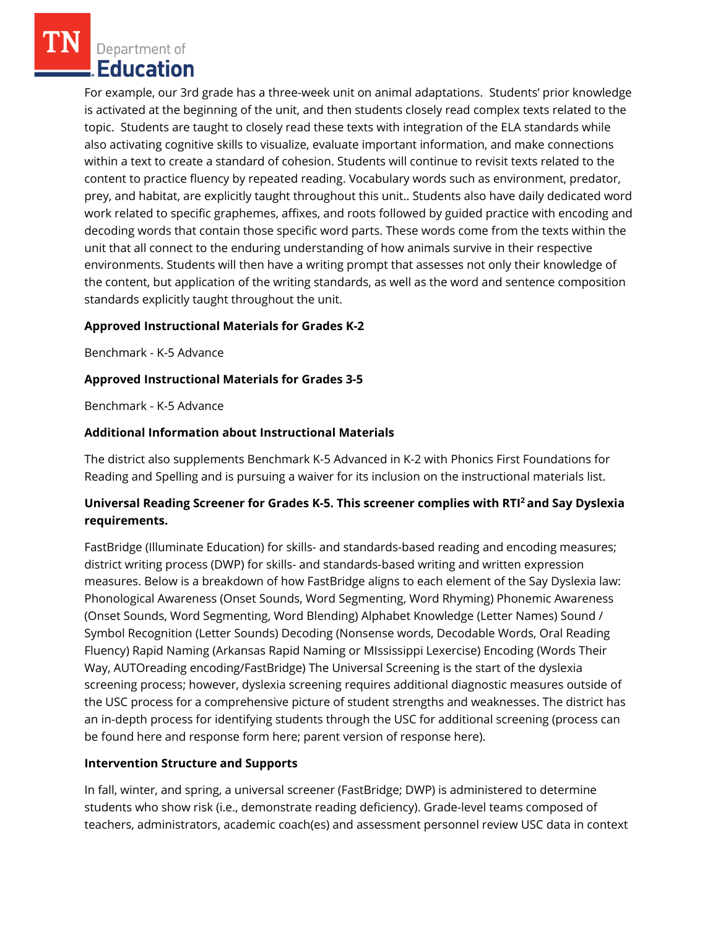Department of Education

For example, our 3rd grade has a three-week unit on animal adaptations. Students' prior knowledge is activated at the beginning of the unit, and then students closely read complex texts related to the topic. Students are taught to closely read these texts with integration of the ELA standards while also activating cognitive skills to visualize, evaluate important information, and make connections within a text to create a standard of cohesion. Students will continue to revisit texts related to the content to practice fluency by repeated reading. Vocabulary words such as environment, predator, prey, and habitat, are explicitly taught throughout this unit.. Students also have daily dedicated word work related to specific graphemes, affixes, and roots followed by guided practice with encoding and decoding words that contain those specific word parts. These words come from the texts within the unit that all connect to the enduring understanding of how animals survive in their respective environments. Students will then have a writing prompt that assesses not only their knowledge of the content, but application of the writing standards, as well as the word and sentence composition standards explicitly taught throughout the unit.

# **Approved Instructional Materials for Grades K-2**

Benchmark - K-5 Advance

### **Approved Instructional Materials for Grades 3-5**

Benchmark - K-5 Advance

#### **Additional Information about Instructional Materials**

The district also supplements Benchmark K-5 Advanced in K-2 with Phonics First Foundations for Reading and Spelling and is pursuing a waiver for its inclusion on the instructional materials list.

# **Universal Reading Screener for Grades K-5. This screener complies with RTI<sup>2</sup>and Say Dyslexia requirements.**

FastBridge (Illuminate Education) for skills- and standards-based reading and encoding measures; district writing process (DWP) for skills- and standards-based writing and written expression measures. Below is a breakdown of how FastBridge aligns to each element of the Say Dyslexia law: Phonological Awareness (Onset Sounds, Word Segmenting, Word Rhyming) Phonemic Awareness (Onset Sounds, Word Segmenting, Word Blending) Alphabet Knowledge (Letter Names) Sound / Symbol Recognition (Letter Sounds) Decoding (Nonsense words, Decodable Words, Oral Reading Fluency) Rapid Naming (Arkansas Rapid Naming or MIssissippi Lexercise) Encoding (Words Their Way, AUTOreading encoding/FastBridge) The Universal Screening is the start of the dyslexia screening process; however, dyslexia screening requires additional diagnostic measures outside of the USC process for a comprehensive picture of student strengths and weaknesses. The district has an in-depth process for identifying students through the USC for additional screening (process can be found here and response form here; parent version of response here).

#### **Intervention Structure and Supports**

In fall, winter, and spring, a universal screener (FastBridge; DWP) is administered to determine students who show risk (i.e., demonstrate reading deficiency). Grade-level teams composed of teachers, administrators, academic coach(es) and assessment personnel review USC data in context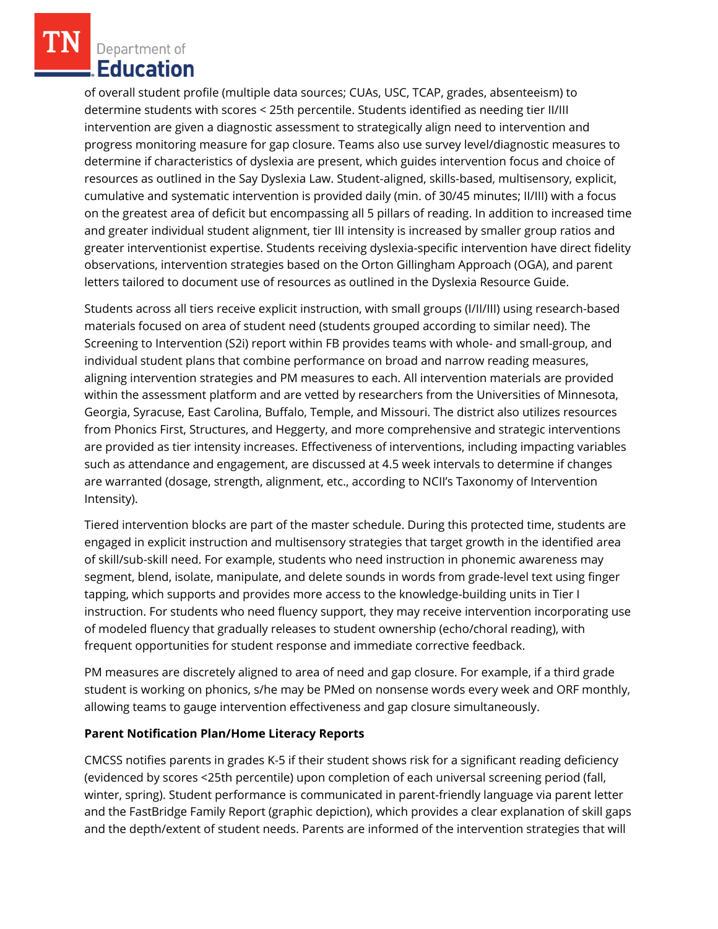Department of **Education** 

of overall student profile (multiple data sources; CUAs, USC, TCAP, grades, absenteeism) to determine students with scores < 25th percentile. Students identified as needing tier II/III intervention are given a diagnostic assessment to strategically align need to intervention and progress monitoring measure for gap closure. Teams also use survey level/diagnostic measures to determine if characteristics of dyslexia are present, which guides intervention focus and choice of resources as outlined in the Say Dyslexia Law. Student-aligned, skills-based, multisensory, explicit, cumulative and systematic intervention is provided daily (min. of 30/45 minutes; II/III) with a focus on the greatest area of deficit but encompassing all 5 pillars of reading. In addition to increased time and greater individual student alignment, tier III intensity is increased by smaller group ratios and greater interventionist expertise. Students receiving dyslexia-specific intervention have direct fidelity observations, intervention strategies based on the Orton Gillingham Approach (OGA), and parent letters tailored to document use of resources as outlined in the Dyslexia Resource Guide.

Students across all tiers receive explicit instruction, with small groups (I/II/III) using research-based materials focused on area of student need (students grouped according to similar need). The Screening to Intervention (S2i) report within FB provides teams with whole- and small-group, and individual student plans that combine performance on broad and narrow reading measures, aligning intervention strategies and PM measures to each. All intervention materials are provided within the assessment platform and are vetted by researchers from the Universities of Minnesota, Georgia, Syracuse, East Carolina, Buffalo, Temple, and Missouri. The district also utilizes resources from Phonics First, Structures, and Heggerty, and more comprehensive and strategic interventions are provided as tier intensity increases. Effectiveness of interventions, including impacting variables such as attendance and engagement, are discussed at 4.5 week intervals to determine if changes are warranted (dosage, strength, alignment, etc., according to NCII's Taxonomy of Intervention Intensity).

Tiered intervention blocks are part of the master schedule. During this protected time, students are engaged in explicit instruction and multisensory strategies that target growth in the identified area of skill/sub-skill need. For example, students who need instruction in phonemic awareness may segment, blend, isolate, manipulate, and delete sounds in words from grade-level text using finger tapping, which supports and provides more access to the knowledge-building units in Tier I instruction. For students who need fluency support, they may receive intervention incorporating use of modeled fluency that gradually releases to student ownership (echo/choral reading), with frequent opportunities for student response and immediate corrective feedback.

PM measures are discretely aligned to area of need and gap closure. For example, if a third grade student is working on phonics, s/he may be PMed on nonsense words every week and ORF monthly, allowing teams to gauge intervention effectiveness and gap closure simultaneously.

# **Parent Notification Plan/Home Literacy Reports**

CMCSS notifies parents in grades K-5 if their student shows risk for a significant reading deficiency (evidenced by scores <25th percentile) upon completion of each universal screening period (fall, winter, spring). Student performance is communicated in parent-friendly language via parent letter and the FastBridge Family Report (graphic depiction), which provides a clear explanation of skill gaps and the depth/extent of student needs. Parents are informed of the intervention strategies that will